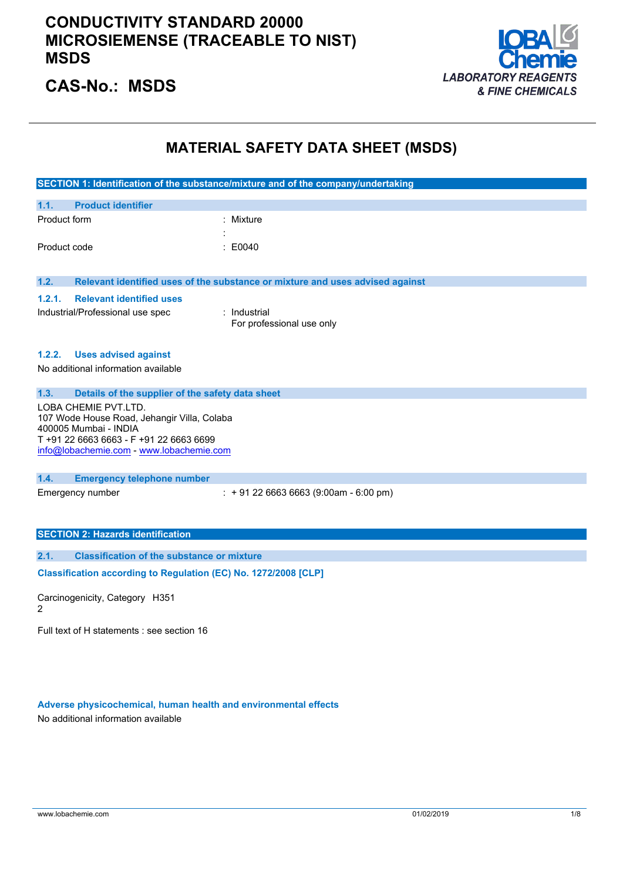

## **CAS-No.: MSDS**

## **MATERIAL SAFETY DATA SHEET (MSDS)**

|                                                                      | SECTION 1: Identification of the substance/mixture and of the company/undertaking |
|----------------------------------------------------------------------|-----------------------------------------------------------------------------------|
|                                                                      |                                                                                   |
| 1.1.<br><b>Product identifier</b>                                    |                                                                                   |
| Product form                                                         | : Mixture                                                                         |
|                                                                      |                                                                                   |
| Product code                                                         | E0040                                                                             |
|                                                                      |                                                                                   |
| 1.2.                                                                 | Relevant identified uses of the substance or mixture and uses advised against     |
| <b>Relevant identified uses</b><br>1.2.1.                            |                                                                                   |
| Industrial/Professional use spec                                     | : Industrial                                                                      |
|                                                                      | For professional use only                                                         |
|                                                                      |                                                                                   |
| <b>Uses advised against</b><br>1.2.2.                                |                                                                                   |
| No additional information available                                  |                                                                                   |
|                                                                      |                                                                                   |
| 1.3.<br>Details of the supplier of the safety data sheet             |                                                                                   |
| LOBA CHEMIE PVT.LTD.                                                 |                                                                                   |
| 107 Wode House Road, Jehangir Villa, Colaba<br>400005 Mumbai - INDIA |                                                                                   |
| T+91 22 6663 6663 - F+91 22 6663 6699                                |                                                                                   |
| info@lobachemie.com - www.lobachemie.com                             |                                                                                   |
|                                                                      |                                                                                   |
| 1.4.<br><b>Emergency telephone number</b>                            |                                                                                   |
| Emergency number                                                     | $\div$ + 91 22 6663 6663 (9:00am - 6:00 pm)                                       |
|                                                                      |                                                                                   |
|                                                                      |                                                                                   |
| <b>SECTION 2: Hazards identification</b>                             |                                                                                   |
| <b>Classification of the substance or mixture</b><br>2.1.            |                                                                                   |
| Classification according to Regulation (EC) No. 1272/2008 [CLP]      |                                                                                   |

Carcinogenicity, Category H351 2

Full text of H statements : see section 16

**Adverse physicochemical, human health and environmental effects**

No additional information available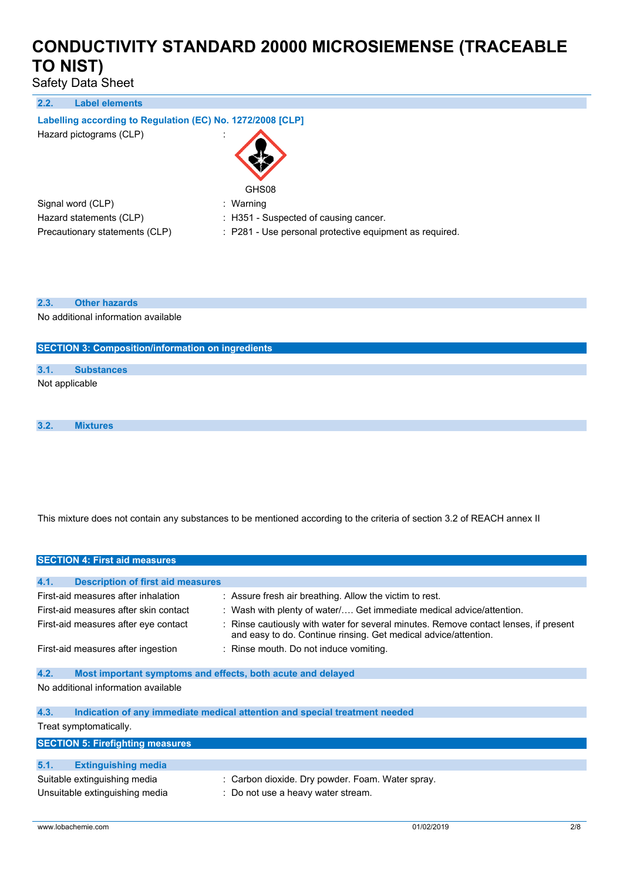Safety Data Sheet

**2.2. Label elements**

### **Labelling according to** Regulation (EC) No. 1272/2008 [CLP]

Hazard pictograms (CLP) :



Signal word (CLP) : Warning

- 
- Hazard statements (CLP) : H351 Suspected of causing cancer.
- Precautionary statements (CLP) : P281 Use personal protective equipment as required.

#### **2.3. Other hazards**

No additional information available

#### **SECTION 3: Composition/information on ingredients**

### **3.1. Substances** Not applicable

**3.2. Mixtures**

This mixture does not contain any substances to be mentioned according to the criteria of section 3.2 of REACH annex II

|      | <b>SECTION 4: First aid measures</b>                           |  |                                                                                                                                                       |
|------|----------------------------------------------------------------|--|-------------------------------------------------------------------------------------------------------------------------------------------------------|
|      |                                                                |  |                                                                                                                                                       |
| 4.1. | <b>Description of first aid measures</b>                       |  |                                                                                                                                                       |
|      | First-aid measures after inhalation                            |  | : Assure fresh air breathing. Allow the victim to rest.                                                                                               |
|      | First-aid measures after skin contact                          |  | : Wash with plenty of water/ Get immediate medical advice/attention.                                                                                  |
|      | First-aid measures after eye contact                           |  | Rinse cautiously with water for several minutes. Remove contact lenses, if present<br>and easy to do. Continue rinsing. Get medical advice/attention. |
|      | First-aid measures after ingestion                             |  | : Rinse mouth. Do not induce vomiting.                                                                                                                |
| 4.2. | Most important symptoms and effects, both acute and delayed    |  |                                                                                                                                                       |
|      | No additional information available                            |  |                                                                                                                                                       |
| 4.3. |                                                                |  | Indication of any immediate medical attention and special treatment needed                                                                            |
|      | Treat symptomatically.                                         |  |                                                                                                                                                       |
|      | <b>SECTION 5: Firefighting measures</b>                        |  |                                                                                                                                                       |
| 5.1. | <b>Extinguishing media</b>                                     |  |                                                                                                                                                       |
|      | Suitable extinguishing media<br>Unsuitable extinguishing media |  | : Carbon dioxide. Dry powder. Foam. Water spray.<br>: Do not use a heavy water stream.                                                                |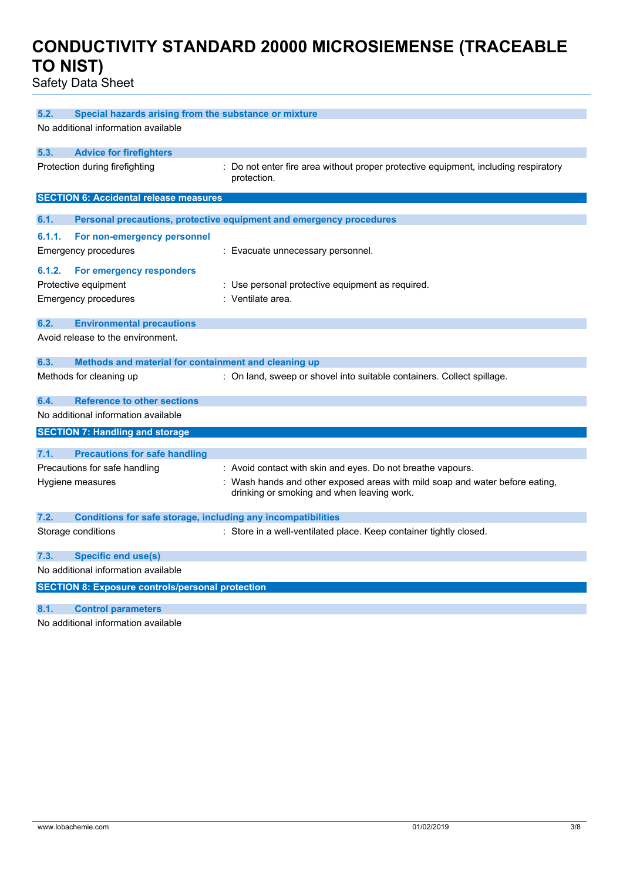Safety Data Sheet

| No additional information available                                                                                                            |  |
|------------------------------------------------------------------------------------------------------------------------------------------------|--|
|                                                                                                                                                |  |
| 5.3.<br><b>Advice for firefighters</b>                                                                                                         |  |
| Protection during firefighting<br>: Do not enter fire area without proper protective equipment, including respiratory<br>protection.           |  |
| <b>SECTION 6: Accidental release measures</b>                                                                                                  |  |
| 6.1.                                                                                                                                           |  |
| Personal precautions, protective equipment and emergency procedures                                                                            |  |
| 6.1.1.<br>For non-emergency personnel<br>Emergency procedures<br>: Evacuate unnecessary personnel.                                             |  |
|                                                                                                                                                |  |
| 6.1.2.<br>For emergency responders                                                                                                             |  |
| Protective equipment<br>: Use personal protective equipment as required.<br>: Ventilate area.                                                  |  |
| <b>Emergency procedures</b>                                                                                                                    |  |
| 6.2.<br><b>Environmental precautions</b>                                                                                                       |  |
| Avoid release to the environment.                                                                                                              |  |
|                                                                                                                                                |  |
| 6.3.<br>Methods and material for containment and cleaning up                                                                                   |  |
| Methods for cleaning up<br>: On land, sweep or shovel into suitable containers. Collect spillage.                                              |  |
| 6.4.<br><b>Reference to other sections</b>                                                                                                     |  |
| No additional information available                                                                                                            |  |
| <b>SECTION 7: Handling and storage</b>                                                                                                         |  |
|                                                                                                                                                |  |
| 7.1.<br><b>Precautions for safe handling</b>                                                                                                   |  |
| Precautions for safe handling<br>: Avoid contact with skin and eyes. Do not breathe vapours.                                                   |  |
| : Wash hands and other exposed areas with mild soap and water before eating,<br>Hygiene measures<br>drinking or smoking and when leaving work. |  |
| 7.2.<br>Conditions for safe storage, including any incompatibilities                                                                           |  |
| Storage conditions<br>: Store in a well-ventilated place. Keep container tightly closed.                                                       |  |
| 7.3.<br><b>Specific end use(s)</b>                                                                                                             |  |
| No additional information available                                                                                                            |  |
| <b>SECTION 8: Exposure controls/personal protection</b>                                                                                        |  |
| 8.1.<br><b>Control parameters</b>                                                                                                              |  |
|                                                                                                                                                |  |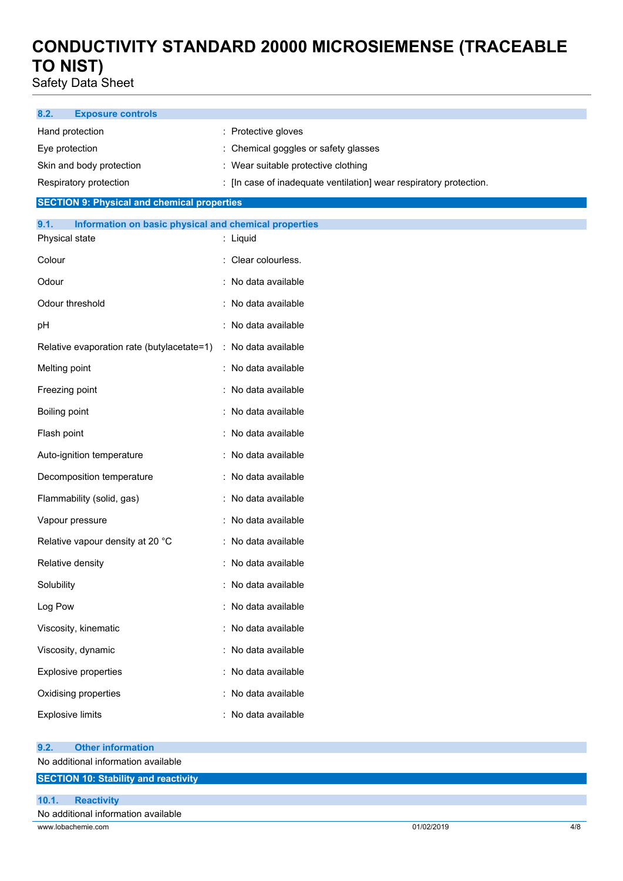Safety Data Sheet

| 8.2.<br><b>Exposure controls</b>                                                |                                                                  |
|---------------------------------------------------------------------------------|------------------------------------------------------------------|
| Hand protection                                                                 | : Protective gloves                                              |
| Eye protection                                                                  | Chemical goggles or safety glasses                               |
| Skin and body protection                                                        | : Wear suitable protective clothing                              |
| Respiratory protection                                                          | [In case of inadequate ventilation] wear respiratory protection. |
| <b>SECTION 9: Physical and chemical properties</b>                              |                                                                  |
| 9.1.<br>Information on basic physical and chemical properties<br>Physical state | : Liquid                                                         |
| Colour                                                                          | : Clear colourless.                                              |
| Odour                                                                           | : No data available                                              |
| Odour threshold                                                                 | : No data available                                              |
| pH                                                                              | No data available                                                |
| Relative evaporation rate (butylacetate=1)                                      | : No data available                                              |
| Melting point                                                                   | No data available                                                |
| Freezing point                                                                  | No data available                                                |
| <b>Boiling point</b>                                                            | No data available                                                |
| Flash point                                                                     | No data available                                                |
| Auto-ignition temperature                                                       | No data available                                                |
| Decomposition temperature                                                       | No data available                                                |
| Flammability (solid, gas)                                                       | : No data available                                              |
| Vapour pressure                                                                 | No data available                                                |
| Relative vapour density at 20 °C                                                | : No data available                                              |
| Relative density                                                                | : No data available                                              |
| Solubility                                                                      | No data available                                                |
| Log Pow                                                                         | No data available                                                |
| Viscosity, kinematic                                                            | No data available                                                |
| Viscosity, dynamic                                                              | No data available                                                |
| <b>Explosive properties</b>                                                     | No data available                                                |
| Oxidising properties                                                            | No data available                                                |
| <b>Explosive limits</b>                                                         | : No data available                                              |
| <b>Other information</b><br>9.2.                                                |                                                                  |
| No additional information available                                             |                                                                  |
| <b>SECTION 10: Stability and reactivity</b>                                     |                                                                  |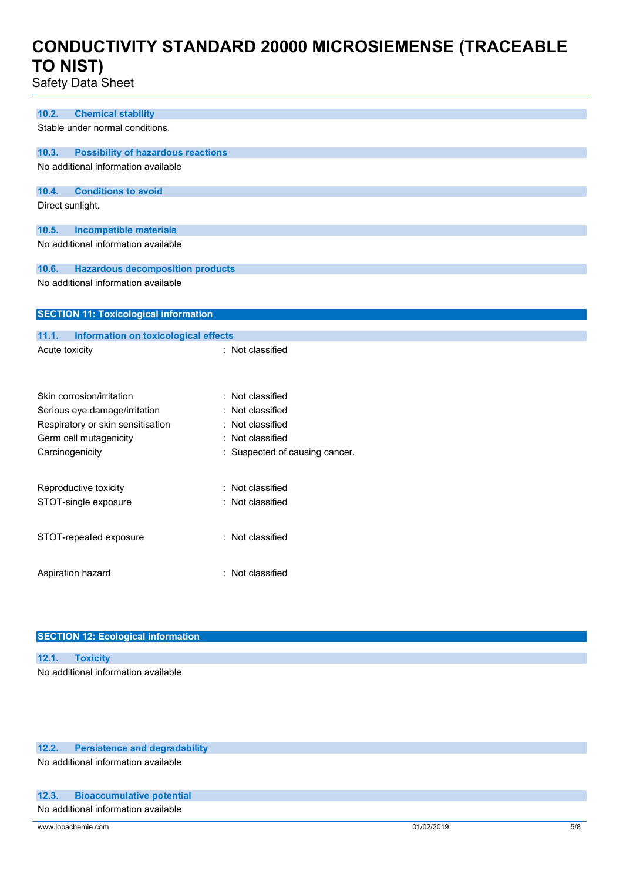Safety Data Sheet

| <b>Chemical stability</b><br>10.2.                 |                              |
|----------------------------------------------------|------------------------------|
| Stable under normal conditions.                    |                              |
|                                                    |                              |
| <b>Possibility of hazardous reactions</b><br>10.3. |                              |
| No additional information available                |                              |
|                                                    |                              |
| 10.4.<br><b>Conditions to avoid</b>                |                              |
| Direct sunlight.                                   |                              |
|                                                    |                              |
| 10.5.<br><b>Incompatible materials</b>             |                              |
| No additional information available                |                              |
|                                                    |                              |
| <b>Hazardous decomposition products</b><br>10.6.   |                              |
| No additional information available                |                              |
|                                                    |                              |
| <b>SECTION 11: Toxicological information</b>       |                              |
| 11.1.                                              |                              |
| <b>Information on toxicological effects</b>        | : Not classified             |
| Acute toxicity                                     |                              |
|                                                    |                              |
|                                                    |                              |
| Skin corrosion/irritation                          | Not classified<br>÷          |
| Serious eye damage/irritation                      | Not classified               |
| Respiratory or skin sensitisation                  | Not classified               |
| Germ cell mutagenicity                             | Not classified               |
| Carcinogenicity                                    | Suspected of causing cancer. |
|                                                    |                              |
|                                                    | Not classified<br>۰          |
| Reproductive toxicity                              |                              |
| STOT-single exposure                               | Not classified               |
|                                                    |                              |
| STOT-repeated exposure                             | : Not classified             |
|                                                    |                              |
|                                                    |                              |
| Aspiration hazard                                  | : Not classified             |
|                                                    |                              |

| <b>SECTION 12: Ecological information</b> |  |  |
|-------------------------------------------|--|--|
| 12.1. Toxicity                            |  |  |
| No additional information available       |  |  |

### **12.2. Persistence and degradability**

No additional information available

### **12.3. Bioaccumulative potential**

No additional information available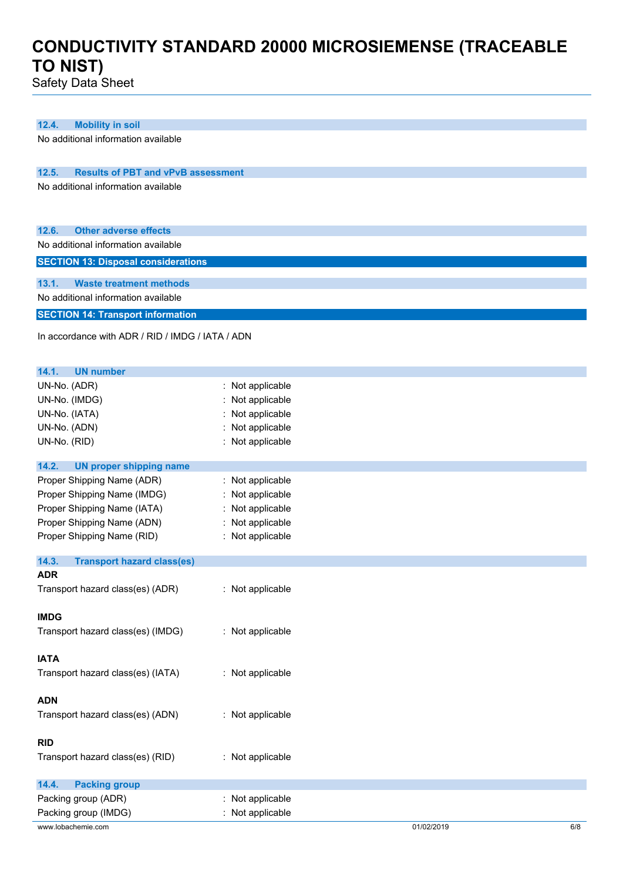Safety Data Sheet

| 12.4.<br><b>Mobility in soil</b>                   |                  |  |
|----------------------------------------------------|------------------|--|
| No additional information available                |                  |  |
|                                                    |                  |  |
| 12.5.<br><b>Results of PBT and vPvB assessment</b> |                  |  |
| No additional information available                |                  |  |
|                                                    |                  |  |
|                                                    |                  |  |
|                                                    |                  |  |
| <b>Other adverse effects</b><br>12.6.              |                  |  |
| No additional information available                |                  |  |
| <b>SECTION 13: Disposal considerations</b>         |                  |  |
|                                                    |                  |  |
| 13.1.<br><b>Waste treatment methods</b>            |                  |  |
| No additional information available                |                  |  |
| <b>SECTION 14: Transport information</b>           |                  |  |
|                                                    |                  |  |
| In accordance with ADR / RID / IMDG / IATA / ADN   |                  |  |
|                                                    |                  |  |
| 14.1.<br><b>UN number</b>                          |                  |  |
| UN-No. (ADR)                                       | : Not applicable |  |
|                                                    |                  |  |
| UN-No. (IMDG)                                      | Not applicable   |  |
| UN-No. (IATA)                                      | Not applicable   |  |
| UN-No. (ADN)                                       | Not applicable   |  |
| UN-No. (RID)                                       | : Not applicable |  |
|                                                    |                  |  |
| 14.2.<br><b>UN proper shipping name</b>            |                  |  |
| Proper Shipping Name (ADR)                         | : Not applicable |  |
| Proper Shipping Name (IMDG)                        | Not applicable   |  |
| Proper Shipping Name (IATA)                        | : Not applicable |  |
| Proper Shipping Name (ADN)                         | : Not applicable |  |
| Proper Shipping Name (RID)                         | : Not applicable |  |
|                                                    |                  |  |
| 14.3.<br><b>Transport hazard class(es)</b>         |                  |  |
| <b>ADR</b>                                         |                  |  |
| Transport hazard class(es) (ADR)                   | : Not applicable |  |
|                                                    |                  |  |
| <b>IMDG</b>                                        |                  |  |
| Transport hazard class(es) (IMDG)                  | : Not applicable |  |
|                                                    |                  |  |
| <b>IATA</b>                                        |                  |  |
| Transport hazard class(es) (IATA)                  | : Not applicable |  |
|                                                    |                  |  |
| <b>ADN</b>                                         |                  |  |
| Transport hazard class(es) (ADN)                   | : Not applicable |  |
|                                                    |                  |  |
| <b>RID</b>                                         |                  |  |
| Transport hazard class(es) (RID)                   | : Not applicable |  |
|                                                    |                  |  |
| 14.4.<br><b>Packing group</b>                      |                  |  |
|                                                    |                  |  |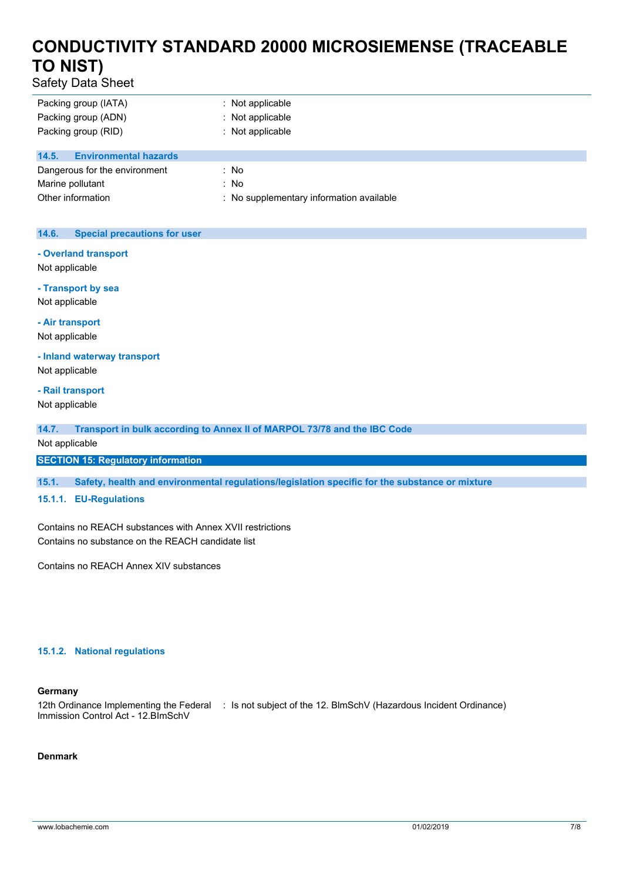Safety Data Sheet

| Packing group (IATA)                  | $\therefore$ Not applicable              |
|---------------------------------------|------------------------------------------|
| Packing group (ADN)                   | : Not applicable                         |
| Packing group (RID)                   | $:$ Not applicable                       |
|                                       |                                          |
| 14.5.<br><b>Environmental hazards</b> |                                          |
| Dangerous for the environment         | : No                                     |
| Marine pollutant                      | : No                                     |
| Other information                     | : No supplementary information available |

### **14.6. Special precautions for user**

**- Overland transport**

Not applicable

**- Transport by sea** Not applicable

**- Air transport**

Not applicable **- Inland waterway transport**

Not applicable

**- Rail transport**

Not applicable

**14.7. Transport in bulk according to Annex II of MARPOL 73/78 and the IBC Code**

Not applicable

**SECTION 15: Regulatory information**

**15.1. Safety, health and environmental regulations/legislation specific for the substance or mixture**

#### **15.1.1. EU-Regulations**

Contains no REACH substances with Annex XVII restrictions Contains no substance on the REACH candidate list

Contains no REACH Annex XIV substances

#### **15.1.2. National regulations**

#### **Germany**

12th Ordinance Implementing the Federal : Is not subject of the 12. BlmSchV (Hazardous Incident Ordinance) Immission Control Act - 12.BImSchV

### **Denmark**